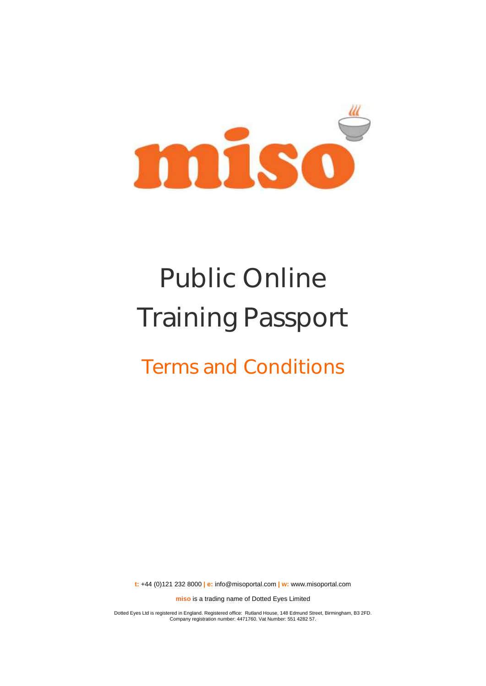

# Public Online Training Passport

# Terms and Conditions

**t:** +44 (0)121 232 8000 **| e:** [info@misoportal.com](mailto:info@misoportal.com) **| w:** [www.misoportal.com](http://www.misoportal.com/)

**miso** is a trading name of Dotted Eyes Limited

Dotted Eyes Ltd is registered in England. Registered office: Rutland House, 148 Edmund Street, Birmingham, B3 2FD. Company registration number: 4471760. Vat Number: 551 4282 57.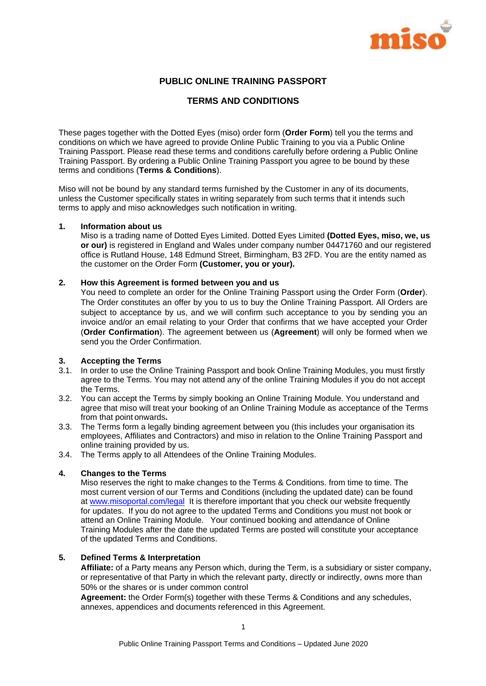

# **PUBLIC ONLINE TRAINING PASSPORT**

#### **TERMS AND CONDITIONS**

These pages together with the Dotted Eyes (miso) order form (**Order Form**) tell you the terms and conditions on which we have agreed to provide Online Public Training to you via a Public Online Training Passport. Please read these terms and conditions carefully before ordering a Public Online Training Passport. By ordering a Public Online Training Passport you agree to be bound by these terms and conditions (**Terms & Conditions**).

Miso will not be bound by any standard terms furnished by the Customer in any of its documents, unless the Customer specifically states in writing separately from such terms that it intends such terms to apply and miso acknowledges such notification in writing.

#### **1. Information about us**

Miso is a trading name of Dotted Eyes Limited. Dotted Eyes Limited **(Dotted Eyes, miso, we, us or our)** is registered in England and Wales under company number 04471760 and our registered office is Rutland House, 148 Edmund Street, Birmingham, B3 2FD. You are the entity named as the customer on the Order Form **(Customer, you or your).**

#### **2. How this Agreement is formed between you and us**

You need to complete an order for the Online Training Passport using the Order Form (**Order**). The Order constitutes an offer by you to us to buy the Online Training Passport. All Orders are subject to acceptance by us, and we will confirm such acceptance to you by sending you an invoice and/or an email relating to your Order that confirms that we have accepted your Order (**Order Confirmation**). The agreement between us (**Agreement**) will only be formed when we send you the Order Confirmation.

#### **3. Accepting the Terms**

- 3.1. In order to use the Online Training Passport and book Online Training Modules, you must firstly agree to the Terms. You may not attend any of the online Training Modules if you do not accept the Terms.
- 3.2. You can accept the Terms by simply booking an Online Training Module. You understand and agree that miso will treat your booking of an Online Training Module as acceptance of the Terms from that point onwards**.**
- 3.3. The Terms form a legally binding agreement between you (this includes your organisation its employees, Affiliates and Contractors) and miso in relation to the Online Training Passport and online training provided by us.
- 3.4. The Terms apply to all Attendees of the Online Training Modules.

#### **4. Changes to the Terms**

Miso reserves the right to make changes to the Terms & Conditions. from time to time. The most current version of our Terms and Conditions (including the updated date) can be found at [www.misoportal.com/legal](http://www.misoportal.com/legal) It is therefore important that you check our website frequently for updates. If you do not agree to the updated Terms and Conditions you must not book or attend an Online Training Module. Your continued booking and attendance of Online Training Modules after the date the updated Terms are posted will constitute your acceptance of the updated Terms and Conditions.

#### **5. Defined Terms & Interpretation**

**Affiliate:** of a Party means any Person which, during the Term, is a subsidiary or sister company, or representative of that Party in which the relevant party, directly or indirectly, owns more than 50% or the shares or is under common control

**Agreement:** the Order Form(s) together with these Terms & Conditions and any schedules, annexes, appendices and documents referenced in this Agreement.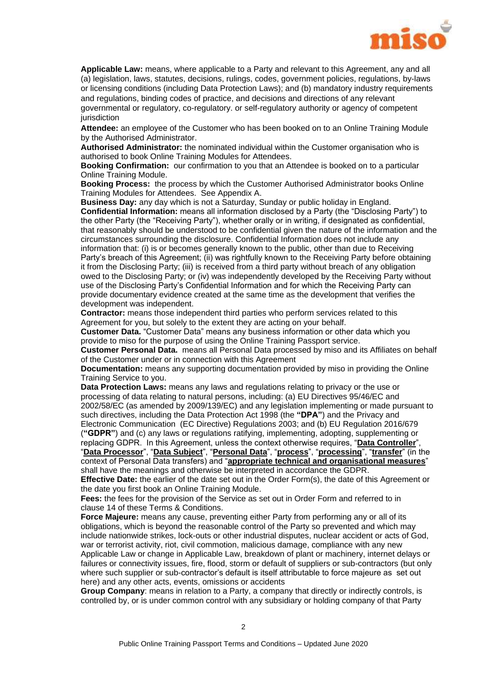

**Applicable Law:** means, where applicable to a Party and relevant to this Agreement, any and all (a) legislation, laws, statutes, decisions, rulings, codes, government policies, regulations, by-laws or licensing conditions (including Data Protection Laws); and (b) mandatory industry requirements and regulations, binding codes of practice, and decisions and directions of any relevant governmental or regulatory, co-regulatory. or self-regulatory authority or agency of competent jurisdiction

**Attendee:** an employee of the Customer who has been booked on to an Online Training Module by the Authorised Administrator.

**Authorised Administrator:** the nominated individual within the Customer organisation who is authorised to book Online Training Modules for Attendees.

**Booking Confirmation:** our confirmation to you that an Attendee is booked on to a particular Online Training Module.

**Booking Process:** the process by which the Customer Authorised Administrator books Online Training Modules for Attendees. See Appendix A.

**Business Day:** any day which is not a Saturday, Sunday or public holiday in England. **Confidential Information:** means all information disclosed by a Party (the "Disclosing Party") to the other Party (the "Receiving Party"), whether orally or in writing, if designated as confidential, that reasonably should be understood to be confidential given the nature of the information and the circumstances surrounding the disclosure. Confidential Information does not include any information that: (i) is or becomes generally known to the public, other than due to Receiving Party's breach of this Agreement; (ii) was rightfully known to the Receiving Party before obtaining it from the Disclosing Party; (iii) is received from a third party without breach of any obligation owed to the Disclosing Party; or (iv) was independently developed by the Receiving Party without use of the Disclosing Party's Confidential Information and for which the Receiving Party can provide documentary evidence created at the same time as the development that verifies the development was independent.

**Contractor:** means those independent third parties who perform services related to this Agreement for you, but solely to the extent they are acting on your behalf.

**Customer Data.** "Customer Data" means any business information or other data which you provide to miso for the purpose of using the Online Training Passport service.

**Customer Personal Data.** means all Personal Data processed by miso and its Affiliates on behalf of the Customer under or in connection with this Agreement

**Documentation:** means any supporting documentation provided by miso in providing the Online Training Service to you.

**Data Protection Laws:** means any laws and regulations relating to privacy or the use or processing of data relating to natural persons, including: (a) EU Directives 95/46/EC and 2002/58/EC (as amended by 2009/139/EC) and any legislation implementing or made pursuant to such directives, including the Data Protection Act 1998 (the **"DPA"**) and the Privacy and Electronic Communication (EC Directive) Regulations 2003; and (b) EU Regulation 2016/679 (**"GDPR"**) and (c) any laws or regulations ratifying, implementing, adopting, supplementing or replacing GDPR. In this Agreement, unless the context otherwise requires, "**Data Controller**", "**Data Processor**", "**Data Subject**", "**Personal Data**", "**process**", "**processing**", "**transfer**" (in the

context of Personal Data transfers) and "**appropriate technical and organisational measures**" shall have the meanings and otherwise be interpreted in accordance the GDPR.

**Effective Date:** the earlier of the date set out in the Order Form(s), the date of this Agreement or the date you first book an Online Training Module.

**Fees:** the fees for the provision of the Service as set out in Order Form and referred to in clause [14](#page-6-0) of these Terms & Conditions.

**Force Majeure:** means any cause, preventing either Party from performing any or all of its obligations, which is beyond the reasonable control of the Party so prevented and which may include nationwide strikes, lock-outs or other industrial disputes, nuclear accident or acts of God, war or terrorist activity, riot, civil commotion, malicious damage, compliance with any new Applicable Law or change in Applicable Law, breakdown of plant or machinery, internet delays or failures or connectivity issues, fire, flood, storm or default of suppliers or sub-contractors (but only where such supplier or sub-contractor's default is itself attributable to force majeure as set out here) and any other acts, events, omissions or accidents

**Group Company**: means in relation to a Party, a company that directly or indirectly controls, is controlled by, or is under common control with any subsidiary or holding company of that Party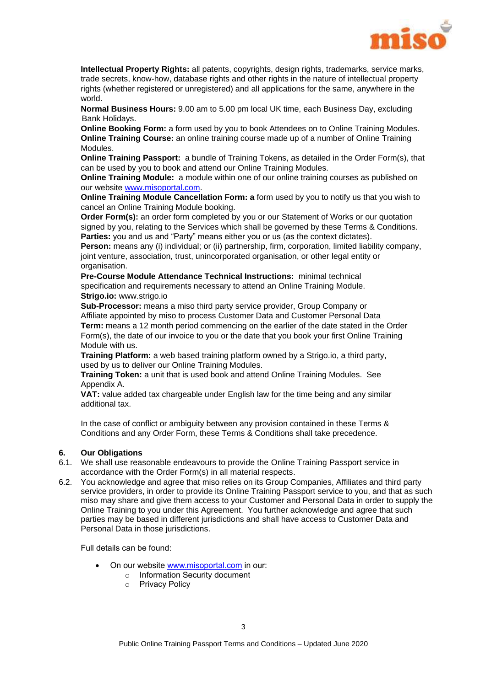

**Intellectual Property Rights:** all patents, copyrights, design rights, trademarks, service marks, trade secrets, know-how, database rights and other rights in the nature of intellectual property rights (whether registered or unregistered) and all applications for the same, anywhere in the world.

**Normal Business Hours:** 9.00 am to 5.00 pm local UK time, each Business Day, excluding Bank Holidays.

**Online Booking Form:** a form used by you to book Attendees on to Online Training Modules. **Online Training Course:** an online training course made up of a number of Online Training Modules.

**Online Training Passport:** a bundle of Training Tokens, as detailed in the Order Form(s), that can be used by you to book and attend our Online Training Modules.

**Online Training Module:** a module within one of our online training courses as published on our website [www.misoportal.com.](http://www.misoportal.com/)

**Online Training Module Cancellation Form: a** form used by you to notify us that you wish to cancel an Online Training Module booking.

**Order Form(s):** an order form completed by you or our Statement of Works or our quotation signed by you, relating to the Services which shall be governed by these Terms & Conditions. **Parties:** you and us and "Party" means either you or us (as the context dictates).

**Person:** means any (i) individual; or (ii) partnership, firm, corporation, limited liability company, joint venture, association, trust, unincorporated organisation, or other legal entity or organisation.

**Pre-Course Module Attendance Technical Instructions:** minimal technical specification and requirements necessary to attend an Online Training Module. **Strigo.io:** www.strigo.io

**Sub-Processor:** means a miso third party service provider, Group Company or Affiliate appointed by miso to process Customer Data and Customer Personal Data **Term:** means a 12 month period commencing on the earlier of the date stated in the Order Form(s), the date of our invoice to you or the date that you book your first Online Training Module with us.

**Training Platform:** a web based training platform owned by a Strigo.io, a third party, used by us to deliver our Online Training Modules.

**Training Token:** a unit that is used book and attend Online Training Modules. See Appendix A.

**VAT:** value added tax chargeable under English law for the time being and any similar additional tax.

In the case of conflict or ambiguity between any provision contained in these Terms & Conditions and any Order Form, these Terms & Conditions shall take precedence.

#### **6. Our Obligations**

- 6.1. We shall use reasonable endeavours to provide the Online Training Passport service in accordance with the Order Form(s) in all material respects.
- 6.2. You acknowledge and agree that miso relies on its Group Companies, Affiliates and third party service providers, in order to provide its Online Training Passport service to you, and that as such miso may share and give them access to your Customer and Personal Data in order to supply the Online Training to you under this Agreement. You further acknowledge and agree that such parties may be based in different jurisdictions and shall have access to Customer Data and Personal Data in those jurisdictions.

Full details can be found:

- On our website www.misoportal.com in our:
	- o Information Security document
	- o Privacy Policy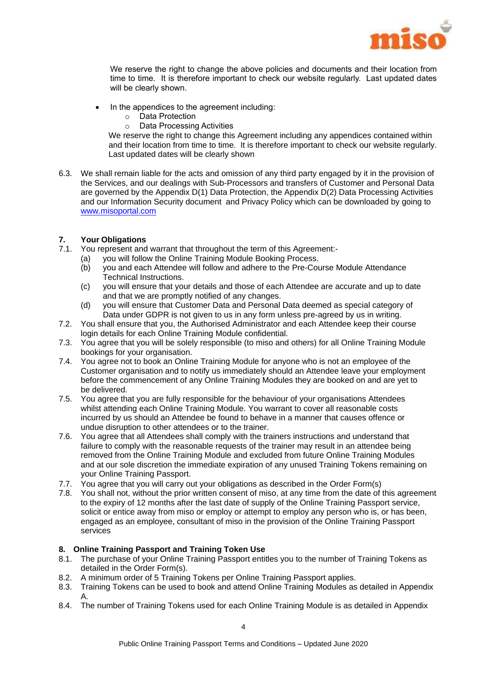

We reserve the right to change the above policies and documents and their location from time to time. It is therefore important to check our website regularly. Last updated dates will be clearly shown.

- In the appendices to the agreement including:
	- o Data Protection
	- o Data Processing Activities

We reserve the right to change this Agreement including any appendices contained within and their location from time to time. It is therefore important to check our website regularly. Last updated dates will be clearly shown

6.3. We shall remain liable for the acts and omission of any third party engaged by it in the provision of the Services, and our dealings with Sub-Processors and transfers of Customer and Personal Data are governed by the Appendix D(1) Data Protection, the Appendix D(2) Data Processing Activities and our Information Security document and Privacy Policy which can be downloaded by going to [www.misoportal.com](http://www.misoportal.com/)

#### <span id="page-4-0"></span>**7. Your Obligations**

- 7.1. You represent and warrant that throughout the term of this Agreement:-
	- (a) you will follow the Online Training Module Booking Process.
	- (b) you and each Attendee will follow and adhere to the Pre-Course Module Attendance Technical Instructions.
	- (c) you will ensure that your details and those of each Attendee are accurate and up to date and that we are promptly notified of any changes.
	- (d) you will ensure that Customer Data and Personal Data deemed as special category of Data under GDPR is not given to us in any form unless pre-agreed by us in writing.
- 7.2. You shall ensure that you, the Authorised Administrator and each Attendee keep their course login details for each Online Training Module confidential.
- 7.3. You agree that you will be solely responsible (to miso and others) for all Online Training Module bookings for your organisation.
- 7.4. You agree not to book an Online Training Module for anyone who is not an employee of the Customer organisation and to notify us immediately should an Attendee leave your employment before the commencement of any Online Training Modules they are booked on and are yet to be delivered.
- 7.5. You agree that you are fully responsible for the behaviour of your organisations Attendees whilst attending each Online Training Module. You warrant to cover all reasonable costs incurred by us should an Attendee be found to behave in a manner that causes offence or undue disruption to other attendees or to the trainer.
- 7.6. You agree that all Attendees shall comply with the trainers instructions and understand that failure to comply with the reasonable requests of the trainer may result in an attendee being removed from the Online Training Module and excluded from future Online Training Modules and at our sole discretion the immediate expiration of any unused Training Tokens remaining on your Online Training Passport.
- 7.7. You agree that you will carry out your obligations as described in the Order Form(s)
- 7.8. You shall not, without the prior written consent of miso, at any time from the date of this agreement to the expiry of 12 months after the last date of supply of the Online Training Passport service, solicit or entice away from miso or employ or attempt to employ any person who is, or has been, engaged as an employee, consultant of miso in the provision of the Online Training Passport services

#### **8. Online Training Passport and Training Token Use**

- 8.1. The purchase of your Online Training Passport entitles you to the number of Training Tokens as detailed in the Order Form(s).
- 8.2. A minimum order of 5 Training Tokens per Online Training Passport applies.
- 8.3. Training Tokens can be used to book and attend Online Training Modules as detailed in Appendix A.
- 8.4. The number of Training Tokens used for each Online Training Module is as detailed in Appendix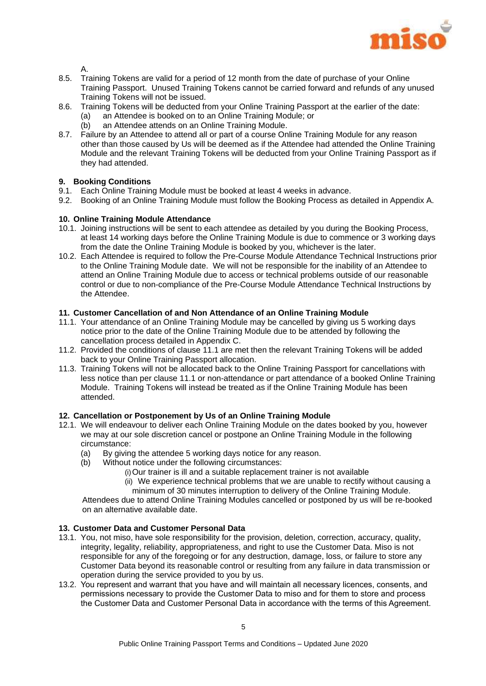

A.

- 8.5. Training Tokens are valid for a period of 12 month from the date of purchase of your Online Training Passport. Unused Training Tokens cannot be carried forward and refunds of any unused Training Tokens will not be issued.
- 8.6. Training Tokens will be deducted from your Online Training Passport at the earlier of the date:
	- (a) an Attendee is booked on to an Online Training Module; or
	- (b) an Attendee attends on an Online Training Module.
- 8.7. Failure by an Attendee to attend all or part of a course Online Training Module for any reason other than those caused by Us will be deemed as if the Attendee had attended the Online Training Module and the relevant Training Tokens will be deducted from your Online Training Passport as if they had attended.

# **9. Booking Conditions**

- 9.1. Each Online Training Module must be booked at least 4 weeks in advance.
- 9.2. Booking of an Online Training Module must follow the Booking Process as detailed in Appendix A.

#### **10. Online Training Module Attendance**

- 10.1. Joining instructions will be sent to each attendee as detailed by you during the Booking Process, at least 14 working days before the Online Training Module is due to commence or 3 working days from the date the Online Training Module is booked by you, whichever is the later.
- 10.2. Each Attendee is required to follow the Pre-Course Module Attendance Technical Instructions prior to the Online Training Module date. We will not be responsible for the inability of an Attendee to attend an Online Training Module due to access or technical problems outside of our reasonable control or due to non-compliance of the Pre-Course Module Attendance Technical Instructions by the Attendee.

#### **11. Customer Cancellation of and Non Attendance of an Online Training Module**

- <span id="page-5-0"></span>11.1. Your attendance of an Online Training Module may be cancelled by giving us 5 working days notice prior to the date of the Online Training Module due to be attended by following the cancellation process detailed in Appendix C.
- 11.2. Provided the conditions of clause [11.1](#page-5-0) are met then the relevant Training Tokens will be added back to your Online Training Passport allocation.
- 11.3. Training Tokens will not be allocated back to the Online Training Passport for cancellations with less notice than per clause [11.1](#page-5-0) or non-attendance or part attendance of a booked Online Training Module. Training Tokens will instead be treated as if the Online Training Module has been attended.

#### **12. Cancellation or Postponement by Us of an Online Training Module**

- 12.1. We will endeavour to deliver each Online Training Module on the dates booked by you, however we may at our sole discretion cancel or postpone an Online Training Module in the following circumstance:
	- (a) By giving the attendee 5 working days notice for any reason.
	- (b) Without notice under the following circumstances:
		- (i)Our trainer is ill and a suitable replacement trainer is not available
		- (ii) We experience technical problems that we are unable to rectify without causing a minimum of 30 minutes interruption to delivery of the Online Training Module.

Attendees due to attend Online Training Modules cancelled or postponed by us will be re-booked on an alternative available date.

### <span id="page-5-1"></span>**13. Customer Data and Customer Personal Data**

- 13.1. You, not miso, have sole responsibility for the provision, deletion, correction, accuracy, quality, integrity, legality, reliability, appropriateness, and right to use the Customer Data. Miso is not responsible for any of the foregoing or for any destruction, damage, loss, or failure to store any Customer Data beyond its reasonable control or resulting from any failure in data transmission or operation during the service provided to you by us.
- 13.2. You represent and warrant that you have and will maintain all necessary licences, consents, and permissions necessary to provide the Customer Data to miso and for them to store and process the Customer Data and Customer Personal Data in accordance with the terms of this Agreement.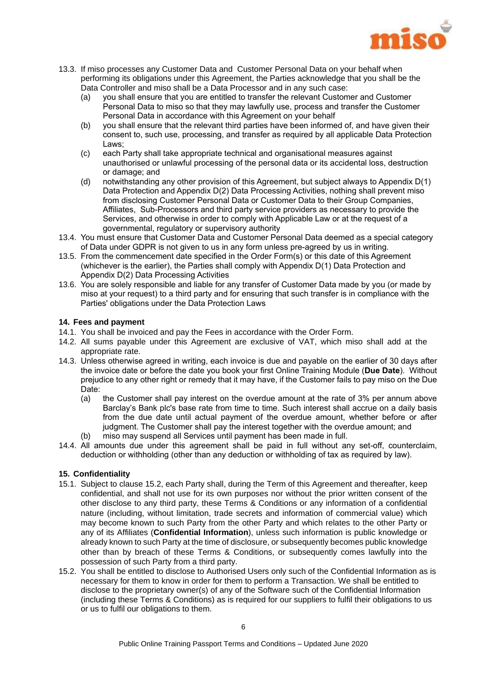

- 13.3. If miso processes any Customer Data and Customer Personal Data on your behalf when performing its obligations under this Agreement, the Parties acknowledge that you shall be the Data Controller and miso shall be a Data Processor and in any such case:
	- (a) you shall ensure that you are entitled to transfer the relevant Customer and Customer Personal Data to miso so that they may lawfully use, process and transfer the Customer Personal Data in accordance with this Agreement on your behalf
	- (b) you shall ensure that the relevant third parties have been informed of, and have given their consent to, such use, processing, and transfer as required by all applicable Data Protection Laws;
	- (c) each Party shall take appropriate technical and organisational measures against unauthorised or unlawful processing of the personal data or its accidental loss, destruction or damage; and
	- (d) notwithstanding any other provision of this Agreement, but subject always to Appendix D(1) Data Protection and Appendix D(2) Data Processing Activities, nothing shall prevent miso from disclosing Customer Personal Data or Customer Data to their Group Companies, Affiliates, Sub-Processors and third party service providers as necessary to provide the Services, and otherwise in order to comply with Applicable Law or at the request of a governmental, regulatory or supervisory authority
- 13.4. You must ensure that Customer Data and Customer Personal Data deemed as a special category of Data under GDPR is not given to us in any form unless pre-agreed by us in writing.
- 13.5. From the commencement date specified in the Order Form(s) or this date of this Agreement (whichever is the earlier), the Parties shall comply with Appendix D(1) Data Protection and Appendix D(2) Data Processing Activities
- 13.6. You are solely responsible and liable for any transfer of Customer Data made by you (or made by miso at your request) to a third party and for ensuring that such transfer is in compliance with the Parties' obligations under the Data Protection Laws

#### <span id="page-6-0"></span>**14. Fees and payment**

- 14.1. You shall be invoiced and pay the Fees in accordance with the Order Form.
- 14.2. All sums payable under this Agreement are exclusive of VAT, which miso shall add at the appropriate rate.
- 14.3. Unless otherwise agreed in writing, each invoice is due and payable on the earlier of 30 days after the invoice date or before the date you book your first Online Training Module (**Due Date**). Without prejudice to any other right or remedy that it may have, if the Customer fails to pay miso on the Due Date:
	- (a) the Customer shall pay interest on the overdue amount at the rate of 3% per annum above Barclay's Bank plc's base rate from time to time. Such interest shall accrue on a daily basis from the due date until actual payment of the overdue amount, whether before or after judgment. The Customer shall pay the interest together with the overdue amount; and
	- miso may suspend all Services until payment has been made in full.
- 14.4. All amounts due under this agreement shall be paid in full without any set-off, counterclaim, deduction or withholding (other than any deduction or withholding of tax as required by law).

#### <span id="page-6-2"></span>**15. Confidentiality**

- 15.1. Subject to clause [15.2, e](#page-6-1)ach Party shall, during the Term of this Agreement and thereafter, keep confidential, and shall not use for its own purposes nor without the prior written consent of the other disclose to any third party, these Terms & Conditions or any information of a confidential nature (including, without limitation, trade secrets and information of commercial value) which may become known to such Party from the other Party and which relates to the other Party or any of its Affiliates (**Confidential Information**), unless such information is public knowledge or already known to such Party at the time of disclosure, or subsequently becomes public knowledge other than by breach of these Terms & Conditions, or subsequently comes lawfully into the possession of such Party from a third party.
- <span id="page-6-1"></span>15.2. You shall be entitled to disclose to Authorised Users only such of the Confidential Information as is necessary for them to know in order for them to perform a Transaction. We shall be entitled to disclose to the proprietary owner(s) of any of the Software such of the Confidential Information (including these Terms & Conditions) as is required for our suppliers to fulfil their obligations to us or us to fulfil our obligations to them.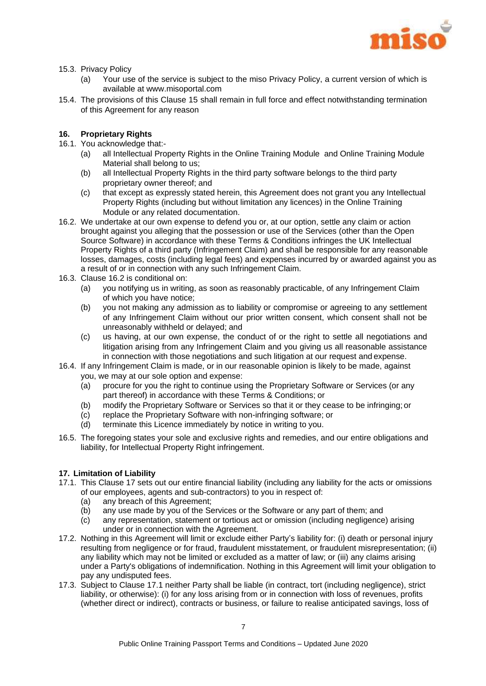

- 15.3. Privacy Policy
	- (a) Your use of the service is subject to the miso Privacy Policy, a current version of which is available at www.misoportal.com
- 15.4. The provisions of this Clause [15](#page-6-2) shall remain in full force and effect notwithstanding termination of this Agreement for any reason

#### **16. Proprietary Rights**

- 16.1. You acknowledge that:-
	- (a) all Intellectual Property Rights in the Online Training Module and Online Training Module Material shall belong to us;
	- (b) all Intellectual Property Rights in the third party software belongs to the third party proprietary owner thereof; and
	- (c) that except as expressly stated herein, this Agreement does not grant you any Intellectual Property Rights (including but without limitation any licences) in the Online Training Module or any related documentation.
- <span id="page-7-0"></span>16.2. We undertake at our own expense to defend you or, at our option, settle any claim or action brought against you alleging that the possession or use of the Services (other than the Open Source Software) in accordance with these Terms & Conditions infringes the UK Intellectual Property Rights of a third party (Infringement Claim) and shall be responsible for any reasonable losses, damages, costs (including legal fees) and expenses incurred by or awarded against you as a result of or in connection with any such Infringement Claim.
- 16.3. Clause [16.2](#page-7-0) is conditional on:
	- (a) you notifying us in writing, as soon as reasonably practicable, of any Infringement Claim of which you have notice;
	- (b) you not making any admission as to liability or compromise or agreeing to any settlement of any Infringement Claim without our prior written consent, which consent shall not be unreasonably withheld or delayed; and
	- (c) us having, at our own expense, the conduct of or the right to settle all negotiations and litigation arising from any Infringement Claim and you giving us all reasonable assistance in connection with those negotiations and such litigation at our request and expense.
- 16.4. If any Infringement Claim is made, or in our reasonable opinion is likely to be made, against you, we may at our sole option and expense:
	- (a) procure for you the right to continue using the Proprietary Software or Services (or any part thereof) in accordance with these Terms & Conditions; or
	- (b) modify the Proprietary Software or Services so that it or they cease to be infringing; or
	- (c) replace the Proprietary Software with non-infringing software; or
	- (d) terminate this Licence immediately by notice in writing to you.
- 16.5. The foregoing states your sole and exclusive rights and remedies, and our entire obligations and liability, for Intellectual Property Right infringement.

#### <span id="page-7-1"></span>**17. Limitation of Liability**

- <span id="page-7-2"></span>17.1. This Clause [17](#page-7-1) sets out our entire financial liability (including any liability for the acts or omissions of our employees, agents and sub-contractors) to you in respect of:
	- (a) any breach of this Agreement;
	- (b) any use made by you of the Services or the Software or any part of them; and
	- (c) any representation, statement or tortious act or omission (including negligence) arising under or in connection with the Agreement.
- 17.2. Nothing in this Agreement will limit or exclude either Party's liability for: (i) death or personal injury resulting from negligence or for fraud, fraudulent misstatement, or fraudulent misrepresentation; (ii) any liability which may not be limited or excluded as a matter of law; or (iii) any claims arising under a Party's obligations of indemnification. Nothing in this Agreement will limit your obligation to pay any undisputed fees.
- <span id="page-7-3"></span>17.3. Subject to Clause [17.1](#page-7-2) neither Party shall be liable (in contract, tort (including negligence), strict liability, or otherwise): (i) for any loss arising from or in connection with loss of revenues, profits (whether direct or indirect), contracts or business, or failure to realise anticipated savings, loss of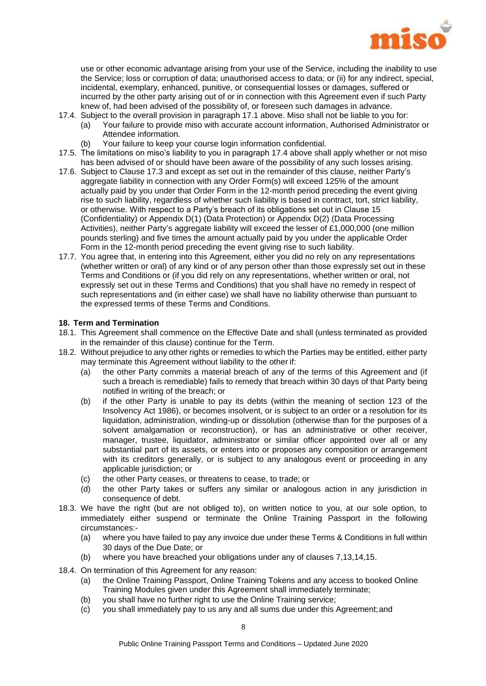

use or other economic advantage arising from your use of the Service, including the inability to use the Service; loss or corruption of data; unauthorised access to data; or (ii) for any indirect, special, incidental, exemplary, enhanced, punitive, or consequential losses or damages, suffered or incurred by the other party arising out of or in connection with this Agreement even if such Party knew of, had been advised of the possibility of, or foreseen such damages in advance.

- <span id="page-8-0"></span>17.4. Subject to the overall provision in paragraph [17.1](#page-7-2) above. Miso shall not be liable to you for:
	- (a) Your failure to provide miso with accurate account information, Authorised Administrator or Attendee information.
		- (b) Your failure to keep your course login information confidential.
- 17.5. The limitations on miso's liability to you in paragraph [17.4](#page-8-0) above shall apply whether or not miso has been advised of or should have been aware of the possibility of any such losses arising.
- 17.6. Subject to Clause [17.3](#page-7-3) and except as set out in the remainder of this clause, neither Party's aggregate liability in connection with any Order Form(s) will exceed 125% of the amount actually paid by you under that Order Form in the 12-month period preceding the event giving rise to such liability, regardless of whether such liability is based in contract, tort, strict liability, or otherwise. With respect to a Party's breach of its obligations set out in Clause [15](#page-6-2) (Confidentiality) or Appendix D(1) (Data Protection) or Appendix D(2) (Data Processing Activities), neither Party's aggregate liability will exceed the lesser of £1,000,000 (one million pounds sterling) and five times the amount actually paid by you under the applicable Order Form in the 12-month period preceding the event giving rise to such liability.
- 17.7. You agree that, in entering into this Agreement, either you did no rely on any representations (whether written or oral) of any kind or of any person other than those expressly set out in these Terms and Conditions or (if you did rely on any representations, whether written or oral, not expressly set out in these Terms and Conditions) that you shall have no remedy in respect of such representations and (in either case) we shall have no liability otherwise than pursuant to the expressed terms of these Terms and Conditions.

#### **18. Term and Termination**

- 18.1. This Agreement shall commence on the Effective Date and shall (unless terminated as provided in the remainder of this clause) continue for the Term.
- 18.2. Without prejudice to any other rights or remedies to which the Parties may be entitled, either party may terminate this Agreement without liability to the other if:
	- (a) the other Party commits a material breach of any of the terms of this Agreement and (if such a breach is remediable) fails to remedy that breach within 30 days of that Party being notified in writing of the breach; or
	- (b) if the other Party is unable to pay its debts (within the meaning of section 123 of the Insolvency Act 1986), or becomes insolvent, or is subject to an order or a resolution for its liquidation, administration, winding-up or dissolution (otherwise than for the purposes of a solvent amalgamation or reconstruction), or has an administrative or other receiver, manager, trustee, liquidator, administrator or similar officer appointed over all or any substantial part of its assets, or enters into or proposes any composition or arrangement with its creditors generally, or is subject to any analogous event or proceeding in any applicable jurisdiction; or
	- (c) the other Party ceases, or threatens to cease, to trade; or
	- (d) the other Party takes or suffers any similar or analogous action in any jurisdiction in consequence of debt.
- 18.3. We have the right (but are not obliged to), on written notice to you, at our sole option, to immediately either suspend or terminate the Online Training Passport in the following circumstances:-
	- (a) where you have failed to pay any invoice due under these Terms & Conditions in full within 30 days of the Due Date; or
	- (b) where you have breached your obligations under any of clauses [7,](#page-4-0)[13](#page-5-1)[,14](#page-6-0)[,15.](#page-6-2)
- 18.4. On termination of this Agreement for any reason:
	- (a) the Online Training Passport, Online Training Tokens and any access to booked Online Training Modules given under this Agreement shall immediately terminate;
	- (b) you shall have no further right to use the Online Training service;
	- (c) you shall immediately pay to us any and all sums due under this Agreement;and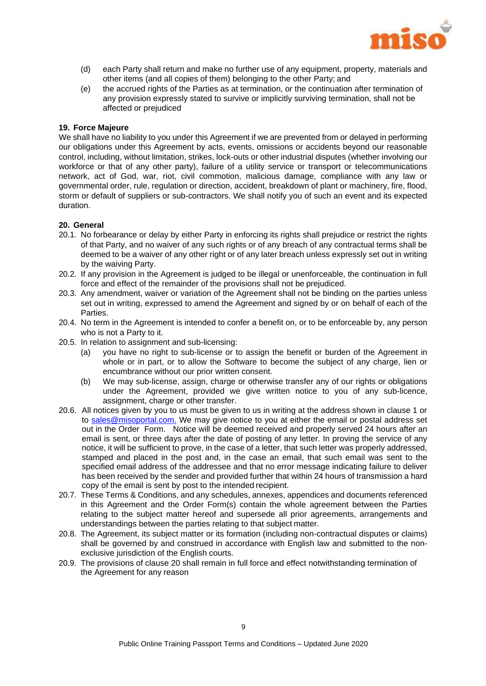

- (d) each Party shall return and make no further use of any equipment, property, materials and other items (and all copies of them) belonging to the other Party; and
- (e) the accrued rights of the Parties as at termination, or the continuation after termination of any provision expressly stated to survive or implicitly surviving termination, shall not be affected or prejudiced

#### **19. Force Majeure**

We shall have no liability to you under this Agreement if we are prevented from or delayed in performing our obligations under this Agreement by acts, events, omissions or accidents beyond our reasonable control, including, without limitation, strikes, lock-outs or other industrial disputes (whether involving our workforce or that of any other party), failure of a utility service or transport or telecommunications network, act of God, war, riot, civil commotion, malicious damage, compliance with any law or governmental order, rule, regulation or direction, accident, breakdown of plant or machinery, fire, flood, storm or default of suppliers or sub-contractors. We shall notify you of such an event and its expected duration.

#### <span id="page-9-0"></span>**20. General**

- 20.1. No forbearance or delay by either Party in enforcing its rights shall prejudice or restrict the rights of that Party, and no waiver of any such rights or of any breach of any contractual terms shall be deemed to be a waiver of any other right or of any later breach unless expressly set out in writing by the waiving Party.
- 20.2. If any provision in the Agreement is judged to be illegal or unenforceable, the continuation in full force and effect of the remainder of the provisions shall not be prejudiced.
- 20.3. Any amendment, waiver or variation of the Agreement shall not be binding on the parties unless set out in writing, expressed to amend the Agreement and signed by or on behalf of each of the Parties.
- 20.4. No term in the Agreement is intended to confer a benefit on, or to be enforceable by, any person who is not a Party to it.
- 20.5. In relation to assignment and sub-licensing:
	- (a) you have no right to sub-license or to assign the benefit or burden of the Agreement in whole or in part, or to allow the Software to become the subject of any charge, lien or encumbrance without our prior written consent.
	- (b) We may sub-license, assign, charge or otherwise transfer any of our rights or obligations under the Agreement, provided we give written notice to you of any sub-licence, assignment, charge or other transfer.
- 20.6. All notices given by you to us must be given to us in writing at the address shown in clause 1 or to [sales@misoportal.com.](mailto:sales@misoportal.com.) We may give notice to you at either the email or postal address set out in the Order Form. Notice will be deemed received and properly served 24 hours after an email is sent, or three days after the date of posting of any letter. In proving the service of any notice, it will be sufficient to prove, in the case of a letter, that such letter was properly addressed, stamped and placed in the post and, in the case an email, that such email was sent to the specified email address of the addressee and that no error message indicating failure to deliver has been received by the sender and provided further that within 24 hours of transmission a hard copy of the email is sent by post to the intended recipient.
- 20.7. These Terms & Conditions, and any schedules, annexes, appendices and documents referenced in this Agreement and the Order Form(s) contain the whole agreement between the Parties relating to the subject matter hereof and supersede all prior agreements, arrangements and understandings between the parties relating to that subject matter.
- 20.8. The Agreement, its subject matter or its formation (including non-contractual disputes or claims) shall be governed by and construed in accordance with English law and submitted to the nonexclusive jurisdiction of the English courts.
- 20.9. The provisions of clause [20](#page-9-0) shall remain in full force and effect notwithstanding termination of the Agreement for any reason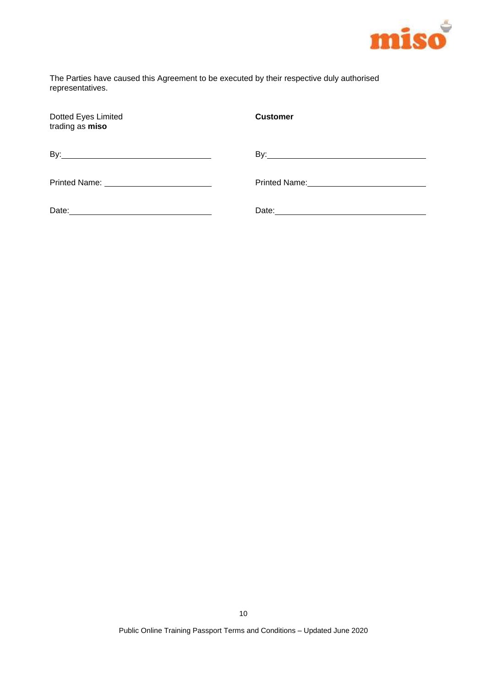

The Parties have caused this Agreement to be executed by their respective duly authorised representatives.

| Dotted Eyes Limited<br>trading as miso | <b>Customer</b> |
|----------------------------------------|-----------------|
|                                        |                 |
|                                        |                 |
|                                        |                 |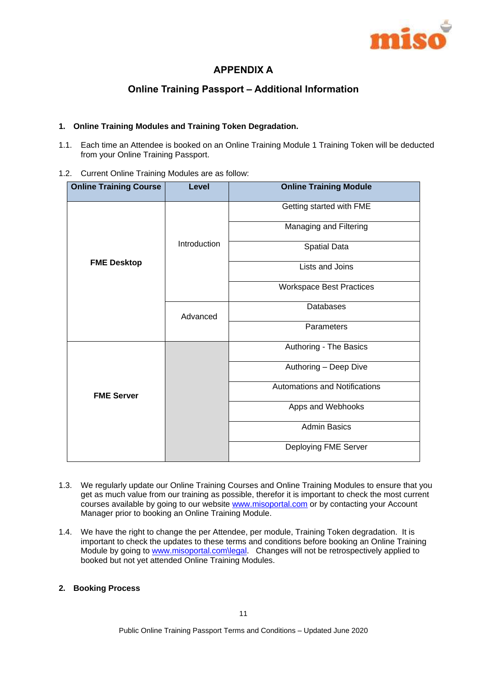

# **APPENDIX A**

# **Online Training Passport – Additional Information**

#### **1. Online Training Modules and Training Token Degradation.**

1.1. Each time an Attendee is booked on an Online Training Module 1 Training Token will be deducted from your Online Training Passport.

#### 1.2. Current Online Training Modules are as follow:

| <b>Online Training Course</b> | Level        | <b>Online Training Module</b>        |
|-------------------------------|--------------|--------------------------------------|
| <b>FME Desktop</b>            | Introduction | Getting started with FME             |
|                               |              | Managing and Filtering               |
|                               |              | <b>Spatial Data</b>                  |
|                               |              | Lists and Joins                      |
|                               |              | <b>Workspace Best Practices</b>      |
|                               | Advanced     | <b>Databases</b>                     |
|                               |              | Parameters                           |
| <b>FME Server</b>             |              | Authoring - The Basics               |
|                               |              | Authoring - Deep Dive                |
|                               |              | <b>Automations and Notifications</b> |
|                               |              | Apps and Webhooks                    |
|                               |              | <b>Admin Basics</b>                  |
|                               |              | Deploying FME Server                 |

- 1.3. We regularly update our Online Training Courses and Online Training Modules to ensure that you get as much value from our training as possible, therefor it is important to check the most current courses available by going to our website [www.misoportal.com](http://www.misoportal.com/) or by contacting your Account Manager prior to booking an Online Training Module.
- 1.4. We have the right to change the per Attendee, per module, Training Token degradation. It is important to check the updates to these terms and conditions before booking an Online Training Module by going to [www.misoportal.com\legal.](http://www.misoportal.com/legal) Changes will not be retrospectively applied to booked but not yet attended Online Training Modules.

#### **2. Booking Process**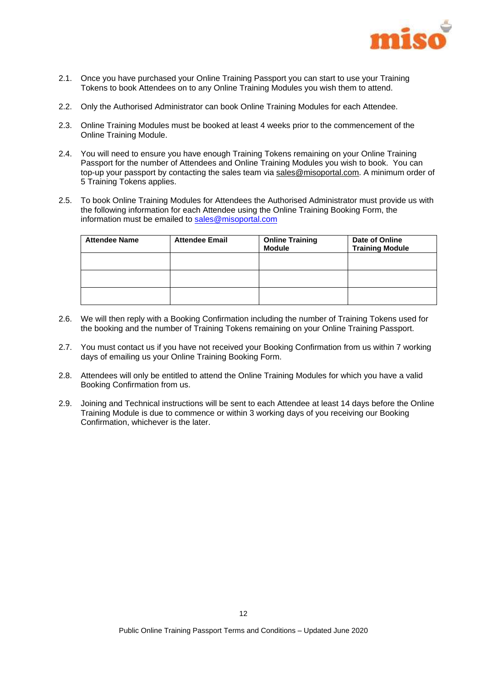

- 2.1. Once you have purchased your Online Training Passport you can start to use your Training Tokens to book Attendees on to any Online Training Modules you wish them to attend.
- 2.2. Only the Authorised Administrator can book Online Training Modules for each Attendee.
- 2.3. Online Training Modules must be booked at least 4 weeks prior to the commencement of the Online Training Module.
- 2.4. You will need to ensure you have enough Training Tokens remaining on your Online Training Passport for the number of Attendees and Online Training Modules you wish to book. You can top-up your passport by contacting the sales team via [sales@misoportal.com.](mailto:sales@misoportal.com) A minimum order of 5 Training Tokens applies.
- 2.5. To book Online Training Modules for Attendees the Authorised Administrator must provide us with the following information for each Attendee using the Online Training Booking Form, the information must be emailed to [sales@misoportal.com](mailto:sales@misoportal.com)

| <b>Attendee Name</b> | <b>Attendee Email</b> | <b>Online Training</b><br><b>Module</b> | Date of Online<br><b>Training Module</b> |
|----------------------|-----------------------|-----------------------------------------|------------------------------------------|
|                      |                       |                                         |                                          |
|                      |                       |                                         |                                          |
|                      |                       |                                         |                                          |

- 2.6. We will then reply with a Booking Confirmation including the number of Training Tokens used for the booking and the number of Training Tokens remaining on your Online Training Passport.
- 2.7. You must contact us if you have not received your Booking Confirmation from us within 7 working days of emailing us your Online Training Booking Form.
- 2.8. Attendees will only be entitled to attend the Online Training Modules for which you have a valid Booking Confirmation from us.
- 2.9. Joining and Technical instructions will be sent to each Attendee at least 14 days before the Online Training Module is due to commence or within 3 working days of you receiving our Booking Confirmation, whichever is the later.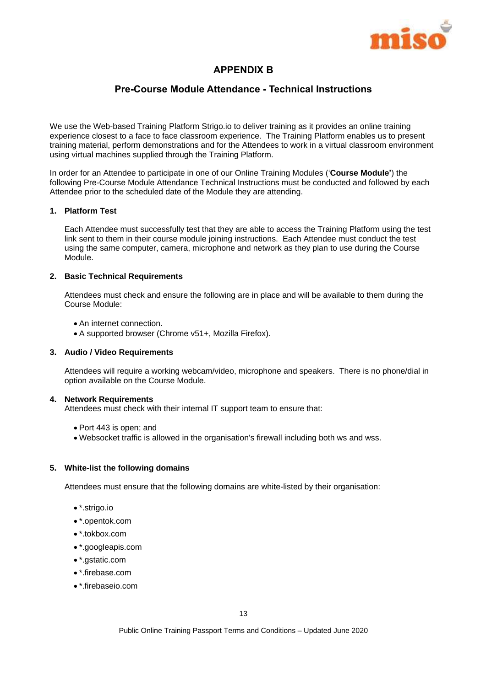

# **APPENDIX B**

# **Pre-Course Module Attendance - Technical Instructions**

We use the Web-based Training Platform Strigo.io to deliver training as it provides an online training experience closest to a face to face classroom experience. The Training Platform enables us to present training material, perform demonstrations and for the Attendees to work in a virtual classroom environment using virtual machines supplied through the Training Platform.

In order for an Attendee to participate in one of our Online Training Modules ('**Course Module'**) the following Pre-Course Module Attendance Technical Instructions must be conducted and followed by each Attendee prior to the scheduled date of the Module they are attending.

#### **1. Platform Test**

Each Attendee must successfully test that they are able to access the Training Platform using the test link sent to them in their course module joining instructions. Each Attendee must conduct the test using the same computer, camera, microphone and network as they plan to use during the Course Module.

#### **2. Basic Technical Requirements**

Attendees must check and ensure the following are in place and will be available to them during the Course Module:

- An internet connection.
- A supported browser (Chrome v51+, Mozilla Firefox).

#### **3. Audio / Video Requirements**

Attendees will require a working webcam/video, microphone and speakers. There is no phone/dial in option available on the Course Module.

#### **4. Network Requirements**

Attendees must check with their internal IT support team to ensure that:

- Port 443 is open; and
- Websocket traffic is allowed in the organisation's firewall including both ws and wss.

#### **5. White-list the following domains**

Attendees must ensure that the following domains are white-listed by their organisation:

- \*.strigo.io
- \*.opentok.com
- \*.tokbox.com
- \*.googleapis.com
- \*.gstatic.com
- \*.firebase.com
- \*.firebaseio.com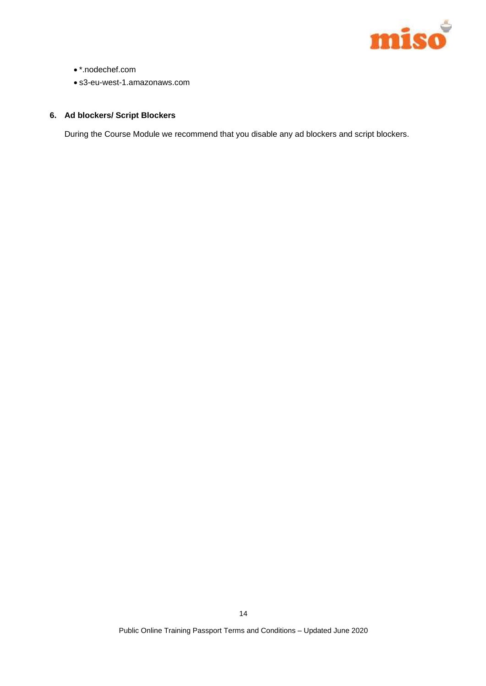

- \*.nodechef.com
- s3-eu-west-1.amazonaws.com

# **6. Ad blockers/ Script Blockers**

During the Course Module we recommend that you disable any ad blockers and script blockers.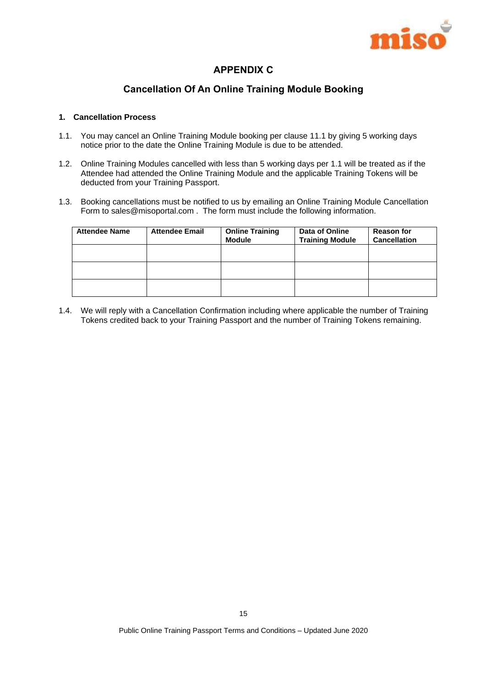

# **APPENDIX C**

# **Cancellation Of An Online Training Module Booking**

#### **1. Cancellation Process**

- 1.1. You may cancel an Online Training Module booking per claus[e 11.1](#page-5-0) by giving 5 working days notice prior to the date the Online Training Module is due to be attended.
- 1.2. Online Training Modules cancelled with less than 5 working days per 1.1 will be treated as if the Attendee had attended the Online Training Module and the applicable Training Tokens will be deducted from your Training Passport.
- 1.3. Booking cancellations must be notified to us by emailing an Online Training Module Cancellation Form to sales@misoportal.com . The form must include the following information.

| <b>Attendee Name</b> | <b>Attendee Email</b> | <b>Online Training</b><br><b>Module</b> | Data of Online<br><b>Training Module</b> | <b>Reason for</b><br><b>Cancellation</b> |
|----------------------|-----------------------|-----------------------------------------|------------------------------------------|------------------------------------------|
|                      |                       |                                         |                                          |                                          |
|                      |                       |                                         |                                          |                                          |
|                      |                       |                                         |                                          |                                          |

1.4. We will reply with a Cancellation Confirmation including where applicable the number of Training Tokens credited back to your Training Passport and the number of Training Tokens remaining.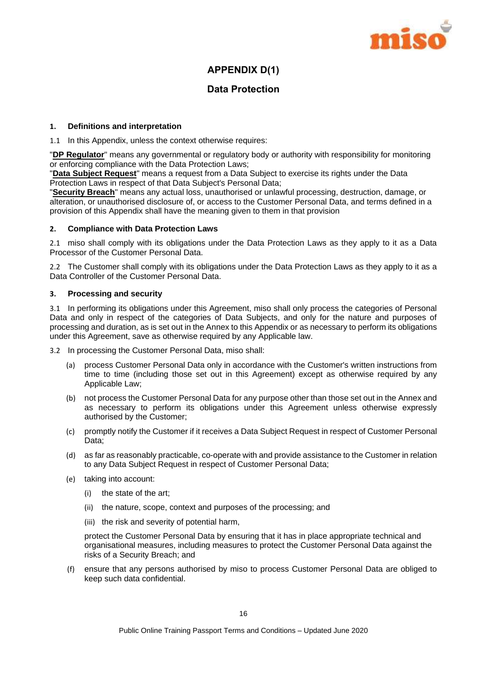

# **APPENDIX D(1)**

# **Data Protection**

#### **1. Definitions and interpretation**

1.1 In this Appendix, unless the context otherwise requires:

"**DP Regulator**" means any governmental or regulatory body or authority with responsibility for monitoring or enforcing compliance with the Data Protection Laws;

"**Data Subject Request**" means a request from a Data Subject to exercise its rights under the Data Protection Laws in respect of that Data Subject's Personal Data;

"**Security Breach**" means any actual loss, unauthorised or unlawful processing, destruction, damage, or alteration, or unauthorised disclosure of, or access to the Customer Personal Data, and terms defined in a provision of this Appendix shall have the meaning given to them in that provision

#### **2. Compliance with Data Protection Laws**

2.1 miso shall comply with its obligations under the Data Protection Laws as they apply to it as a Data Processor of the Customer Personal Data.

2.2 The Customer shall comply with its obligations under the Data Protection Laws as they apply to it as a Data Controller of the Customer Personal Data.

#### **3. Processing and security**

3.1 In performing its obligations under this Agreement, miso shall only process the categories of Personal Data and only in respect of the categories of Data Subjects, and only for the nature and purposes of processing and duration, as is set out in the Annex to this Appendix or as necessary to perform its obligations under this Agreement, save as otherwise required by any Applicable law.

3.2 In processing the Customer Personal Data, miso shall:

- (a) process Customer Personal Data only in accordance with the Customer's written instructions from time to time (including those set out in this Agreement) except as otherwise required by any Applicable Law;
- (b) not process the Customer Personal Data for any purpose other than those set out in the Annex and as necessary to perform its obligations under this Agreement unless otherwise expressly authorised by the Customer;
- (c) promptly notify the Customer if it receives a Data Subject Request in respect of Customer Personal Data;
- (d) as far as reasonably practicable, co-operate with and provide assistance to the Customer in relation to any Data Subject Request in respect of Customer Personal Data;
- (e) taking into account:
	- (i) the state of the art;
	- (ii) the nature, scope, context and purposes of the processing; and
	- (iii) the risk and severity of potential harm,

protect the Customer Personal Data by ensuring that it has in place appropriate technical and organisational measures, including measures to protect the Customer Personal Data against the risks of a Security Breach; and

(f) ensure that any persons authorised by miso to process Customer Personal Data are obliged to keep such data confidential.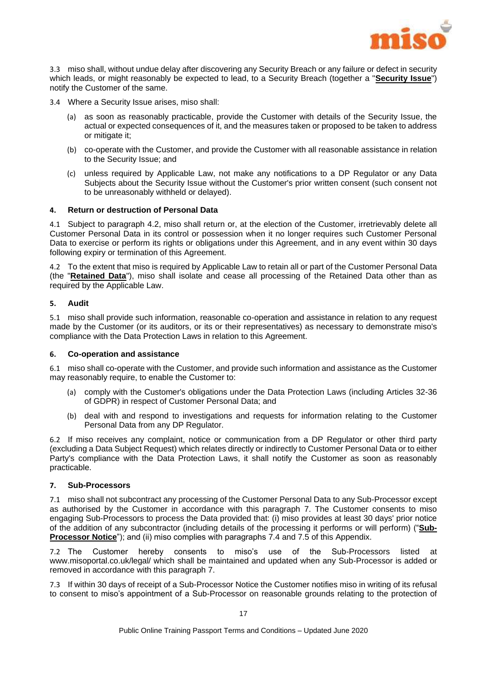

3.3 miso shall, without undue delay after discovering any Security Breach or any failure or defect in security which leads, or might reasonably be expected to lead, to a Security Breach (together a "**Security Issue**") notify the Customer of the same.

3.4 Where a Security Issue arises, miso shall:

- (a) as soon as reasonably practicable, provide the Customer with details of the Security Issue, the actual or expected consequences of it, and the measures taken or proposed to be taken to address or mitigate it;
- (b) co-operate with the Customer, and provide the Customer with all reasonable assistance in relation to the Security Issue; and
- (c) unless required by Applicable Law, not make any notifications to a DP Regulator or any Data Subjects about the Security Issue without the Customer's prior written consent (such consent not to be unreasonably withheld or delayed).

#### **4. Return or destruction of Personal Data**

4.1 Subject to paragraph [4.2,](#page-17-0) miso shall return or, at the election of the Customer, irretrievably delete all Customer Personal Data in its control or possession when it no longer requires such Customer Personal Data to exercise or perform its rights or obligations under this Agreement, and in any event within 30 days following expiry or termination of this Agreement.

<span id="page-17-0"></span>4.2 To the extent that miso is required by Applicable Law to retain all or part of the Customer Personal Data (the "**Retained Data**"), miso shall isolate and cease all processing of the Retained Data other than as required by the Applicable Law.

#### **5. Audit**

5.1 miso shall provide such information, reasonable co-operation and assistance in relation to any request made by the Customer (or its auditors, or its or their representatives) as necessary to demonstrate miso's compliance with the Data Protection Laws in relation to this Agreement.

#### **6. Co-operation and assistance**

6.1 miso shall co-operate with the Customer, and provide such information and assistance as the Customer may reasonably require, to enable the Customer to:

- (a) comply with the Customer's obligations under the Data Protection Laws (including Articles 32-36 of GDPR) in respect of Customer Personal Data; and
- (b) deal with and respond to investigations and requests for information relating to the Customer Personal Data from any DP Regulator.

6.2 If miso receives any complaint, notice or communication from a DP Regulator or other third party (excluding a Data Subject Request) which relates directly or indirectly to Customer Personal Data or to either Party's compliance with the Data Protection Laws, it shall notify the Customer as soon as reasonably practicable.

#### <span id="page-17-1"></span>**7. Sub-Processors**

7.1 miso shall not subcontract any processing of the Customer Personal Data to any Sub-Processor except as authorised by the Customer in accordance with this paragraph [7.](#page-17-1) The Customer consents to miso engaging Sub-Processors to process the Data provided that: (i) miso provides at least 30 days' prior notice of the addition of any subcontractor (including details of the processing it performs or will perform) ("**Sub-Processor Notice**"); and (ii) miso complies with paragraphs [7.4](#page-18-0) and [7.5](#page-18-1) of this Appendix.

7.2 The Customer hereby consents to miso's use of the Sub-Processors listed at www.misoportal.co.uk/legal/ which shall be maintained and updated when any Sub-Processor is added or removed in accordance with this paragraph [7.](#page-17-1)

7.3 If within 30 days of receipt of a Sub-Processor Notice the Customer notifies miso in writing of its refusal to consent to miso's appointment of a Sub-Processor on reasonable grounds relating to the protection of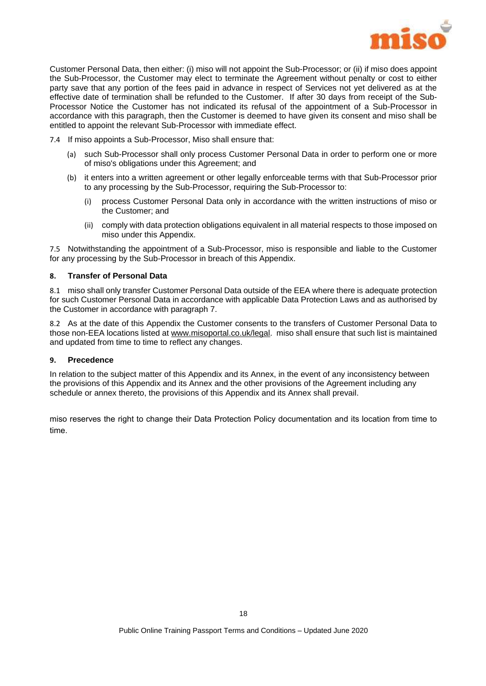

Customer Personal Data, then either: (i) miso will not appoint the Sub-Processor; or (ii) if miso does appoint the Sub-Processor, the Customer may elect to terminate the Agreement without penalty or cost to either party save that any portion of the fees paid in advance in respect of Services not yet delivered as at the effective date of termination shall be refunded to the Customer. If after 30 days from receipt of the Sub-Processor Notice the Customer has not indicated its refusal of the appointment of a Sub-Processor in accordance with this paragraph, then the Customer is deemed to have given its consent and miso shall be entitled to appoint the relevant Sub-Processor with immediate effect.

- <span id="page-18-0"></span>7.4 If miso appoints a Sub-Processor, Miso shall ensure that:
	- (a) such Sub-Processor shall only process Customer Personal Data in order to perform one or more of miso's obligations under this Agreement; and
	- (b) it enters into a written agreement or other legally enforceable terms with that Sub-Processor prior to any processing by the Sub-Processor, requiring the Sub-Processor to:
		- (i) process Customer Personal Data only in accordance with the written instructions of miso or the Customer; and
		- (ii) comply with data protection obligations equivalent in all material respects to those imposed on miso under this Appendix.

<span id="page-18-1"></span>7.5 Notwithstanding the appointment of a Sub-Processor, miso is responsible and liable to the Customer for any processing by the Sub-Processor in breach of this Appendix.

#### **8. Transfer of Personal Data**

8.1 miso shall only transfer Customer Personal Data outside of the EEA where there is adequate protection for such Customer Personal Data in accordance with applicable Data Protection Laws and as authorised by the Customer in accordance with paragraph 7.

8.2 As at the date of this Appendix the Customer consents to the transfers of Customer Personal Data to those non-EEA locations listed a[t www.misoportal.co.uk/legal.](http://www.misoportal.co.uk/legal) miso shall ensure that such list is maintained and updated from time to time to reflect any changes.

#### **9. Precedence**

In relation to the subject matter of this Appendix and its Annex, in the event of any inconsistency between the provisions of this Appendix and its Annex and the other provisions of the Agreement including any schedule or annex thereto, the provisions of this Appendix and its Annex shall prevail.

miso reserves the right to change their Data Protection Policy documentation and its location from time to time.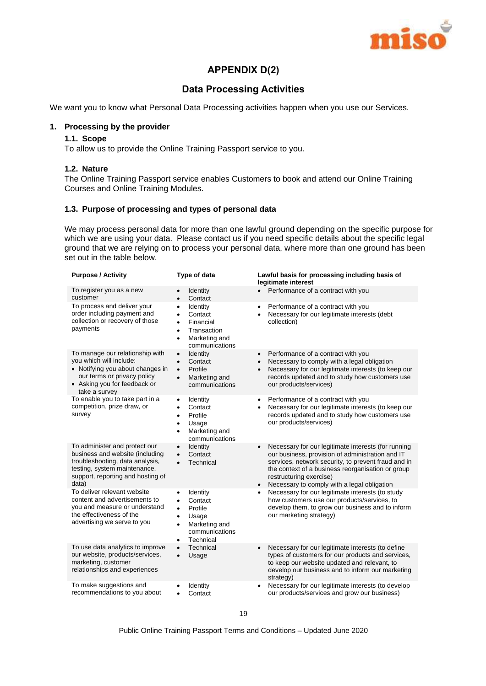

# **APPENDIX D(2)**

# **Data Processing Activities**

We want you to know what Personal Data Processing activities happen when you use our Services.

#### **1. Processing by the provider**

#### **1.1. Scope**

To allow us to provide the Online Training Passport service to you.

#### **1.2. Nature**

The Online Training Passport service enables Customers to book and attend our Online Training Courses and Online Training Modules.

#### **1.3. Purpose of processing and types of personal data**

We may process personal data for more than one lawful ground depending on the specific purpose for which we are using your data. Please contact us if you need specific details about the specific legal ground that we are relying on to process your personal data, where more than one ground has been set out in the table below.

| <b>Purpose / Activity</b>                                                                                                                                                         | Type of data                                                                                                                                             | Lawful basis for processing including basis of<br>legitimate interest                                                                                                                                                                                                                                                   |
|-----------------------------------------------------------------------------------------------------------------------------------------------------------------------------------|----------------------------------------------------------------------------------------------------------------------------------------------------------|-------------------------------------------------------------------------------------------------------------------------------------------------------------------------------------------------------------------------------------------------------------------------------------------------------------------------|
| To register you as a new<br>customer                                                                                                                                              | Identity<br>$\bullet$<br>Contact<br>$\bullet$                                                                                                            | Performance of a contract with you<br>$\bullet$                                                                                                                                                                                                                                                                         |
| To process and deliver your<br>order including payment and<br>collection or recovery of those<br>payments                                                                         | Identity<br>$\bullet$<br>Contact<br>$\bullet$<br>Financial<br>$\bullet$<br>Transaction<br>$\bullet$<br>Marketing and<br>٠<br>communications              | Performance of a contract with you<br>٠<br>Necessary for our legitimate interests (debt<br>collection)                                                                                                                                                                                                                  |
| To manage our relationship with<br>you which will include:<br>• Notifying you about changes in<br>our terms or privacy policy<br>• Asking you for feedback or<br>take a survey    | Identity<br>$\bullet$<br>Contact<br>$\bullet$<br>Profile<br>$\bullet$<br>Marketing and<br>$\bullet$<br>communications                                    | Performance of a contract with you<br>$\bullet$<br>Necessary to comply with a legal obligation<br>٠<br>Necessary for our legitimate interests (to keep our<br>records updated and to study how customers use<br>our products/services)                                                                                  |
| To enable you to take part in a<br>competition, prize draw, or<br>survey                                                                                                          | Identity<br>$\bullet$<br>Contact<br>$\bullet$<br>Profile<br>$\bullet$<br>Usage<br>$\bullet$<br>Marketing and<br>$\bullet$<br>communications              | Performance of a contract with you<br>٠<br>Necessary for our legitimate interests (to keep our<br>records updated and to study how customers use<br>our products/services)                                                                                                                                              |
| To administer and protect our<br>business and website (including<br>troubleshooting, data analysis,<br>testing, system maintenance,<br>support, reporting and hosting of<br>data) | Identity<br>$\bullet$<br>Contact<br>$\bullet$<br>Technical                                                                                               | Necessary for our legitimate interests (for running<br>$\bullet$<br>our business, provision of administration and IT<br>services, network security, to prevent fraud and in<br>the context of a business reorganisation or group<br>restructuring exercise)<br>Necessary to comply with a legal obligation<br>$\bullet$ |
| To deliver relevant website<br>content and advertisements to<br>you and measure or understand<br>the effectiveness of the<br>advertising we serve to you                          | Identity<br>$\bullet$<br>Contact<br>$\bullet$<br>Profile<br>$\bullet$<br>Usage<br>$\bullet$<br>Marketing and<br>communications<br>Technical<br>$\bullet$ | Necessary for our legitimate interests (to study<br>how customers use our products/services, to<br>develop them, to grow our business and to inform<br>our marketing strategy)                                                                                                                                          |
| To use data analytics to improve<br>our website, products/services,<br>marketing, customer<br>relationships and experiences                                                       | Technical<br>$\bullet$<br>Usage<br>$\bullet$                                                                                                             | Necessary for our legitimate interests (to define<br>$\bullet$<br>types of customers for our products and services,<br>to keep our website updated and relevant, to<br>develop our business and to inform our marketing<br>strategy)                                                                                    |
| To make suggestions and<br>recommendations to you about                                                                                                                           | Identity<br>Contact<br>$\bullet$                                                                                                                         | Necessary for our legitimate interests (to develop<br>٠<br>our products/services and grow our business)                                                                                                                                                                                                                 |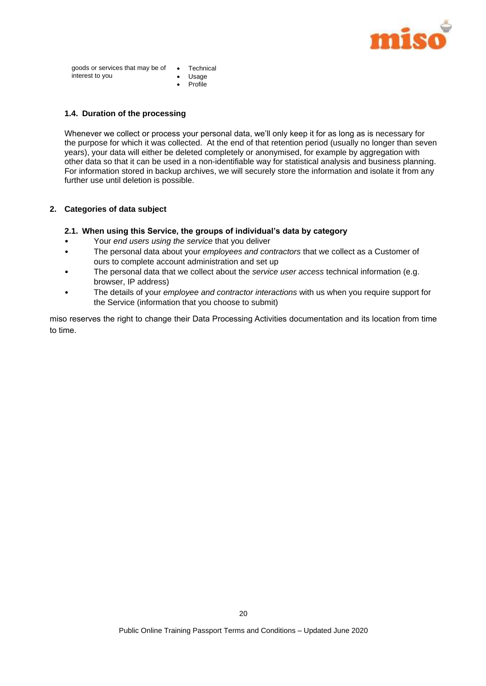

goods or services that may be of Technical interest to you Usage

• Profile

#### **1.4. Duration of the processing**

Whenever we collect or process your personal data, we'll only keep it for as long as is necessary for the purpose for which it was collected. At the end of that retention period (usually no longer than seven years), your data will either be deleted completely or anonymised, for example by aggregation with other data so that it can be used in a non-identifiable way for statistical analysis and business planning. For information stored in backup archives, we will securely store the information and isolate it from any further use until deletion is possible.

#### **2. Categories of data subject**

#### **2.1. When using this Service, the groups of individual's data by category**

- Your *end users using the service* that you deliver
- The personal data about your *employees and contractors* that we collect as a Customer of ours to complete account administration and set up
- The personal data that we collect about the *service user access* technical information (e.g. browser, IP address)
- The details of your *employee and contractor interactions* with us when you require support for the Service (information that you choose to submit)

miso reserves the right to change their Data Processing Activities documentation and its location from time to time.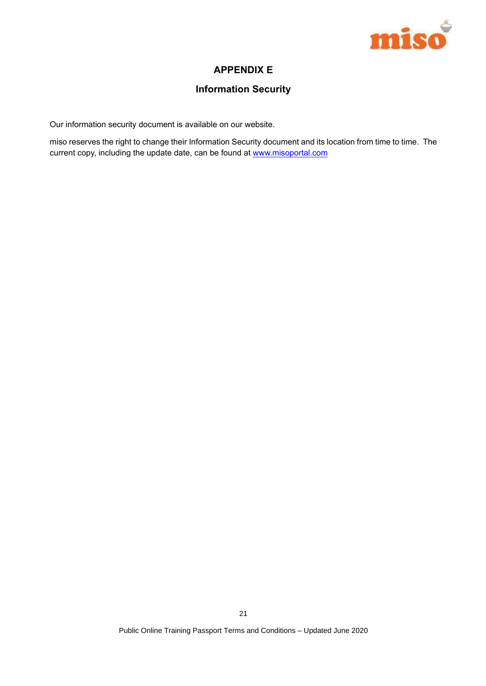

# **APPENDIX E**

# **Information Security**

Our information security document is available on our website.

miso reserves the right to change their Information Security document and its location from time to time. The current copy, including the update date, can be found at www.misoportal.com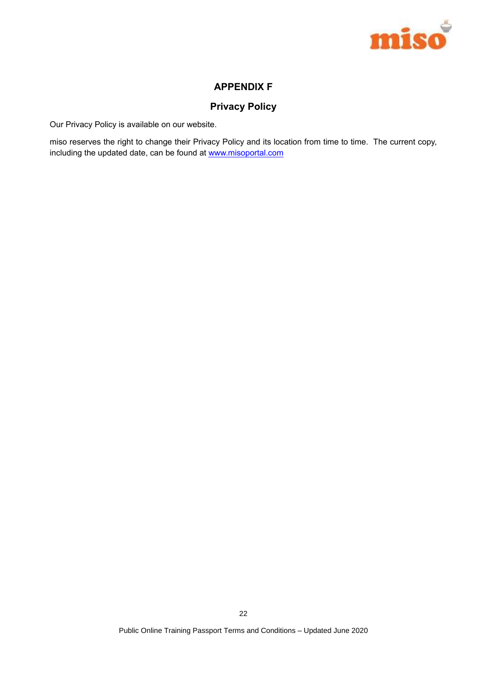

# **APPENDIX F**

# **Privacy Policy**

Our Privacy Policy is available on our website.

miso reserves the right to change their Privacy Policy and its location from time to time. The current copy, including the updated date, can be found at www.misoportal.com